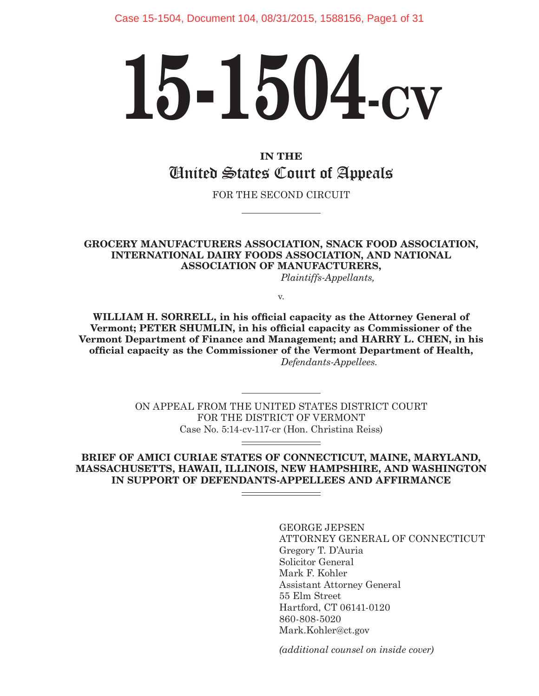# **15-1504-CV**

## **IN THE** United States Court of Appeals

FOR THE SECOND CIRCUIT

#### **GROCERY MANUFACTURERS ASSOCIATION, SNACK FOOD ASSOCIATION, INTERNATIONAL DAIRY FOODS ASSOCIATION, AND NATIONAL ASSOCIATION OF MANUFACTURERS,**

*Plaintiffs-Appellants,*

v.

**WILLIAM H. SORRELL, in his official capacity as the Attorney General of Vermont; PETER SHUMLIN, in his official capacity as Commissioner of the Vermont Department of Finance and Management; and HARRY L. CHEN, in his official capacity as the Commissioner of the Vermont Department of Health,**  *Defendants-Appellees.*

> ON APPEAL FROM THE UNITED STATES DISTRICT COURT FOR THE DISTRICT OF VERMONT Case No. 5:14-cv-117-cr (Hon. Christina Reiss)

**BRIEF OF AMICI CURIAE STATES OF CONNECTICUT, MAINE, MARYLAND, MASSACHUSETTS, HAWAII, ILLINOIS, NEW HAMPSHIRE, AND WASHINGTON IN SUPPORT OF DEFENDANTS-APPELLEES AND AFFIRMANCE**

> GEORGE JEPSEN ATTORNEY GENERAL OF CONNECTICUT Gregory T. D'Auria Solicitor General Mark F. Kohler Assistant Attorney General 55 Elm Street Hartford, CT 06141-0120 860-808-5020 Mark.Kohler@ct.gov

*(additional counsel on inside cover)*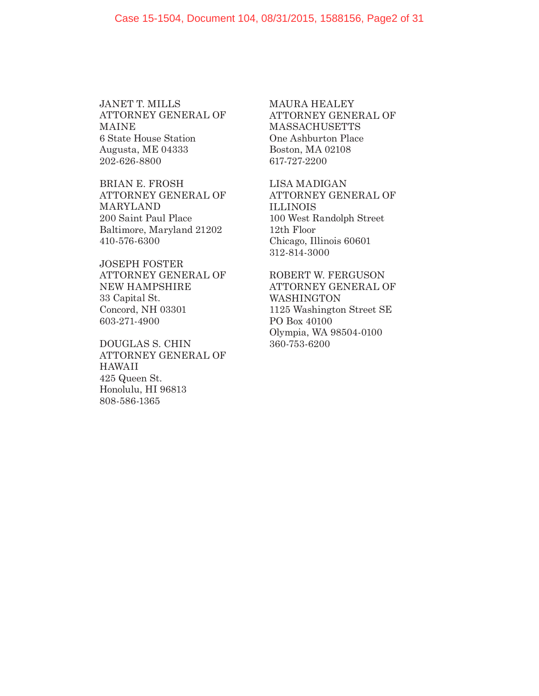JANET T. MILLS ATTORNEY GENERAL OF MAINE 6 State House Station Augusta, ME 04333 202-626-8800

BRIAN E. FROSH ATTORNEY GENERAL OF MARYLAND 200 Saint Paul Place Baltimore, Maryland 21202 410-576-6300

JOSEPH FOSTER ATTORNEY GENERAL OF NEW HAMPSHIRE 33 Capital St. Concord, NH 03301 603-271-4900

DOUGLAS S. CHIN ATTORNEY GENERAL OF HAWAII 425 Queen St. Honolulu, HI 96813 808-586-1365

MAURA HEALEY ATTORNEY GENERAL OF **MASSACHUSETTS** One Ashburton Place Boston, MA 02108 617-727-2200

LISA MADIGAN ATTORNEY GENERAL OF ILLINOIS 100 West Randolph Street 12th Floor Chicago, Illinois 60601 312-814-3000

ROBERT W. FERGUSON ATTORNEY GENERAL OF WASHINGTON 1125 Washington Street SE PO Box 40100 Olympia, WA 98504-0100 360-753-6200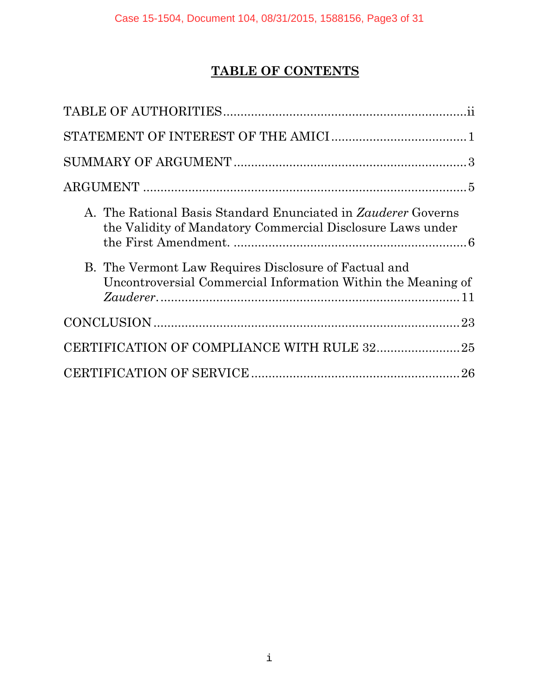# **TABLE OF CONTENTS**

| A. The Rational Basis Standard Enunciated in <i>Zauderer</i> Governs<br>the Validity of Mandatory Commercial Disclosure Laws under |
|------------------------------------------------------------------------------------------------------------------------------------|
| B. The Vermont Law Requires Disclosure of Factual and<br>Uncontroversial Commercial Information Within the Meaning of              |
|                                                                                                                                    |
|                                                                                                                                    |
|                                                                                                                                    |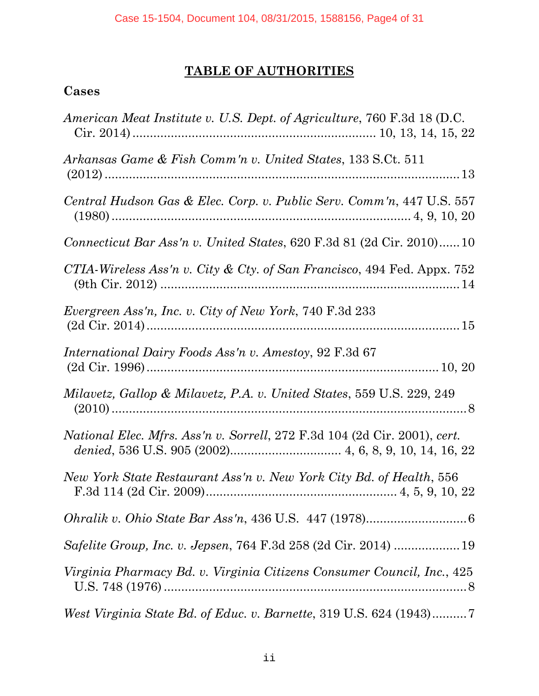# **TABLE OF AUTHORITIES**

## <span id="page-3-0"></span>**Cases**

| American Meat Institute v. U.S. Dept. of Agriculture, 760 F.3d 18 (D.C.          |
|----------------------------------------------------------------------------------|
| Arkansas Game & Fish Comm'n v. United States, 133 S.Ct. 511                      |
| Central Hudson Gas & Elec. Corp. v. Public Serv. Comm'n, 447 U.S. 557            |
| <i>Connecticut Bar Ass'n v. United States, 620 F.3d 81 (2d Cir. 2010)10</i>      |
| CTIA-Wireless Ass'n v. City & Cty. of San Francisco, 494 Fed. Appx. 752          |
| Evergreen Ass'n, Inc. v. City of New York, 740 F.3d 233                          |
| <i>International Dairy Foods Ass'n v. Amestoy, 92 F.3d 67</i>                    |
| Milavetz, Gallop & Milavetz, P.A. v. United States, 559 U.S. 229, 249            |
| <i>National Elec. Mfrs. Ass'n v. Sorrell, 272 F.3d 104 (2d Cir. 2001), cert.</i> |
| New York State Restaurant Ass'n v. New York City Bd. of Health, 556              |
|                                                                                  |
|                                                                                  |
| Virginia Pharmacy Bd. v. Virginia Citizens Consumer Council, Inc., 425           |
| West Virginia State Bd. of Educ. v. Barnette, 319 U.S. 624 (1943)7               |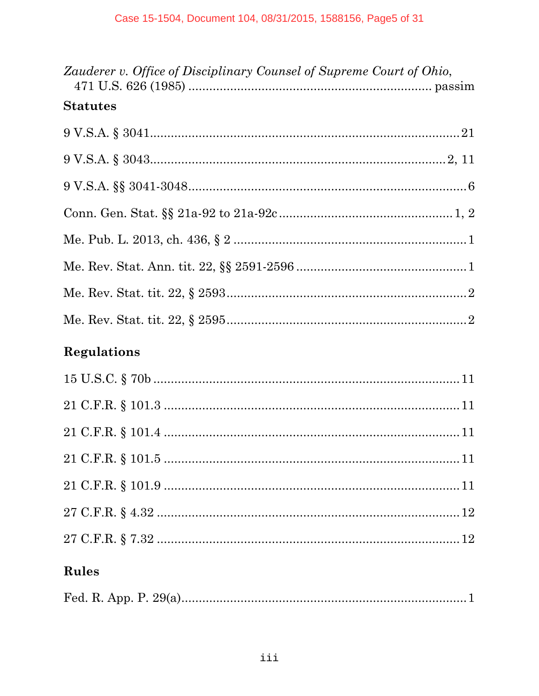| Zauderer v. Office of Disciplinary Counsel of Supreme Court of Ohio, |  |
|----------------------------------------------------------------------|--|
| <b>Statutes</b>                                                      |  |
|                                                                      |  |
|                                                                      |  |
|                                                                      |  |
|                                                                      |  |
|                                                                      |  |
|                                                                      |  |
|                                                                      |  |
|                                                                      |  |
|                                                                      |  |

# **Regulations**

# Rules

|--|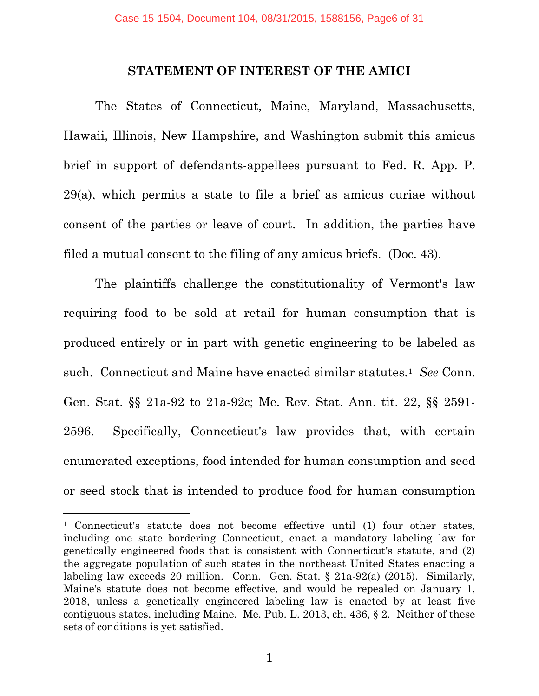#### **STATEMENT OF INTEREST OF THE AMICI**

<span id="page-5-0"></span>The States of Connecticut, Maine, Maryland, Massachusetts, Hawaii, Illinois, New Hampshire, and Washington submit this amicus brief in support of defendants-appellees pursuant to Fed. R. App. P. 29(a), which permits a state to file a brief as amicus curiae without consent of the parties or leave of court. In addition, the parties have filed a mutual consent to the filing of any amicus briefs. (Doc. 43).

The plaintiffs challenge the constitutionality of Vermont's law requiring food to be sold at retail for human consumption that is produced entirely or in part with genetic engineering to be labeled as such. Connecticut and Maine have enacted similar statutes.[1](#page-5-1) *See* Conn. Gen. Stat. §§ 21a-92 to 21a-92c; Me. Rev. Stat. Ann. tit. 22, §§ 2591- 2596. Specifically, Connecticut's law provides that, with certain enumerated exceptions, food intended for human consumption and seed or seed stock that is intended to produce food for human consumption

<span id="page-5-1"></span>ī <sup>1</sup> Connecticut's statute does not become effective until (1) four other states, including one state bordering Connecticut, enact a mandatory labeling law for genetically engineered foods that is consistent with Connecticut's statute, and (2) the aggregate population of such states in the northeast United States enacting a labeling law exceeds 20 million. Conn. Gen. Stat. § 21a-92(a) (2015). Similarly, Maine's statute does not become effective, and would be repealed on January 1, 2018, unless a genetically engineered labeling law is enacted by at least five contiguous states, including Maine. Me. Pub. L. 2013, ch. 436, § 2. Neither of these sets of conditions is yet satisfied.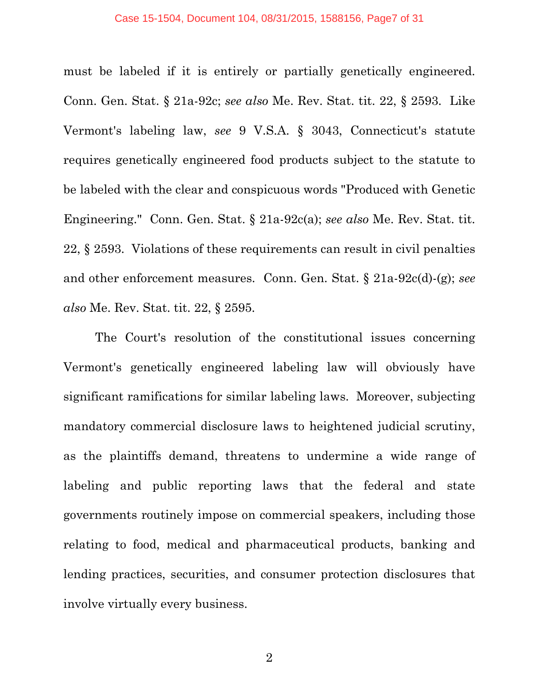must be labeled if it is entirely or partially genetically engineered. Conn. Gen. Stat. § 21a-92c; *see also* Me. Rev. Stat. tit. 22, § 2593. Like Vermont's labeling law, *see* 9 V.S.A. § 3043, Connecticut's statute requires genetically engineered food products subject to the statute to be labeled with the clear and conspicuous words "Produced with Genetic Engineering." Conn. Gen. Stat. § 21a-92c(a); *see also* Me. Rev. Stat. tit. 22, § 2593. Violations of these requirements can result in civil penalties and other enforcement measures. Conn. Gen. Stat. § 21a-92c(d)-(g); *see also* Me. Rev. Stat. tit. 22, § 2595.

The Court's resolution of the constitutional issues concerning Vermont's genetically engineered labeling law will obviously have significant ramifications for similar labeling laws. Moreover, subjecting mandatory commercial disclosure laws to heightened judicial scrutiny, as the plaintiffs demand, threatens to undermine a wide range of labeling and public reporting laws that the federal and state governments routinely impose on commercial speakers, including those relating to food, medical and pharmaceutical products, banking and lending practices, securities, and consumer protection disclosures that involve virtually every business.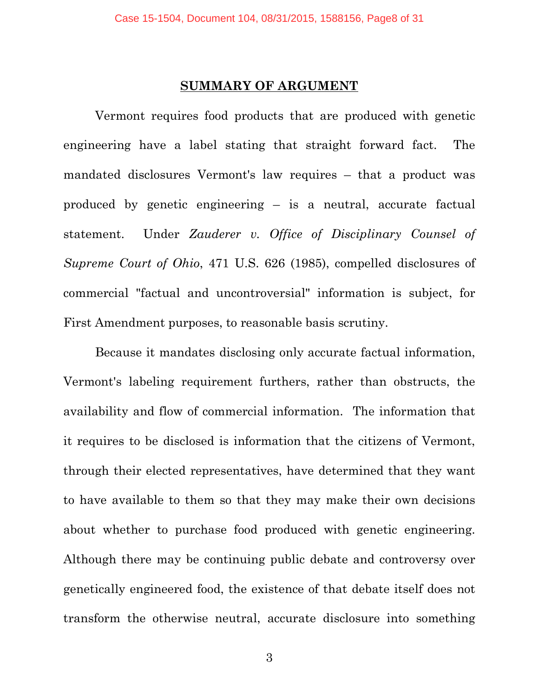#### **SUMMARY OF ARGUMENT**

<span id="page-7-0"></span>Vermont requires food products that are produced with genetic engineering have a label stating that straight forward fact. The mandated disclosures Vermont's law requires – that a product was produced by genetic engineering – is a neutral, accurate factual statement. Under *Zauderer v. Office of Disciplinary Counsel of Supreme Court of Ohio*, 471 U.S. 626 (1985), compelled disclosures of commercial "factual and uncontroversial" information is subject, for First Amendment purposes, to reasonable basis scrutiny.

Because it mandates disclosing only accurate factual information, Vermont's labeling requirement furthers, rather than obstructs, the availability and flow of commercial information. The information that it requires to be disclosed is information that the citizens of Vermont, through their elected representatives, have determined that they want to have available to them so that they may make their own decisions about whether to purchase food produced with genetic engineering. Although there may be continuing public debate and controversy over genetically engineered food, the existence of that debate itself does not transform the otherwise neutral, accurate disclosure into something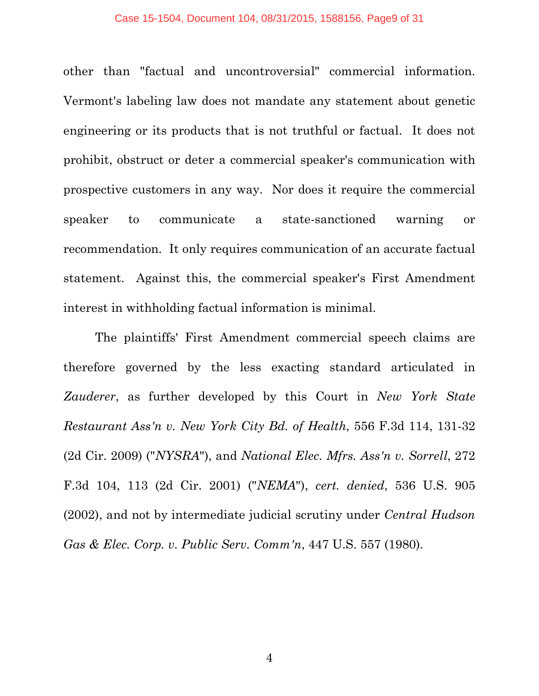other than "factual and uncontroversial" commercial information. Vermont's labeling law does not mandate any statement about genetic engineering or its products that is not truthful or factual. It does not prohibit, obstruct or deter a commercial speaker's communication with prospective customers in any way. Nor does it require the commercial speaker to communicate a state-sanctioned warning or recommendation. It only requires communication of an accurate factual statement. Against this, the commercial speaker's First Amendment interest in withholding factual information is minimal.

The plaintiffs' First Amendment commercial speech claims are therefore governed by the less exacting standard articulated in *Zauderer*, as further developed by this Court in *New York State Restaurant Ass'n v. New York City Bd. of Health*, 556 F.3d 114, 131-32 (2d Cir. 2009) ("*NYSRA*"), and *National Elec. Mfrs. Ass'n v. Sorrell*, 272 F.3d 104, 113 (2d Cir. 2001) ("*NEMA*"), *cert. denied*, 536 U.S. 905 (2002), and not by intermediate judicial scrutiny under *Central Hudson Gas & Elec. Corp. v. Public Serv. Comm'n*, 447 U.S. 557 (1980).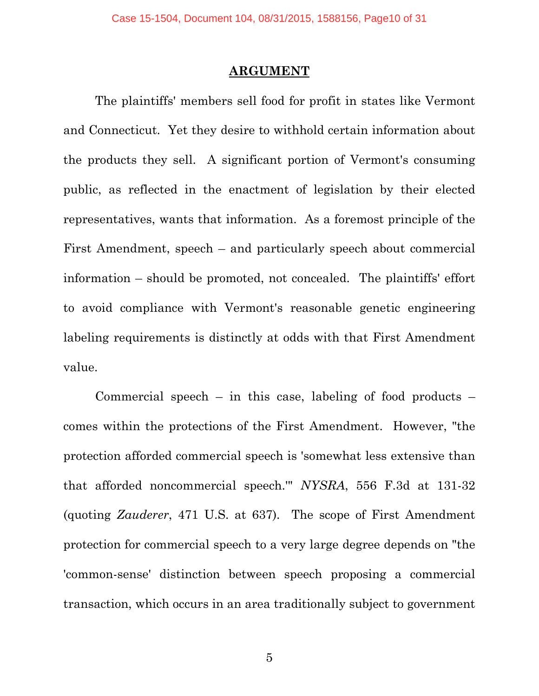#### **ARGUMENT**

<span id="page-9-0"></span>The plaintiffs' members sell food for profit in states like Vermont and Connecticut. Yet they desire to withhold certain information about the products they sell. A significant portion of Vermont's consuming public, as reflected in the enactment of legislation by their elected representatives, wants that information. As a foremost principle of the First Amendment, speech – and particularly speech about commercial information – should be promoted, not concealed. The plaintiffs' effort to avoid compliance with Vermont's reasonable genetic engineering labeling requirements is distinctly at odds with that First Amendment value.

Commercial speech – in this case, labeling of food products – comes within the protections of the First Amendment. However, "the protection afforded commercial speech is 'somewhat less extensive than that afforded noncommercial speech.'" *NYSRA*, 556 F.3d at 131-32 (quoting *Zauderer*, 471 U.S. at 637). The scope of First Amendment protection for commercial speech to a very large degree depends on "the 'common-sense' distinction between speech proposing a commercial transaction, which occurs in an area traditionally subject to government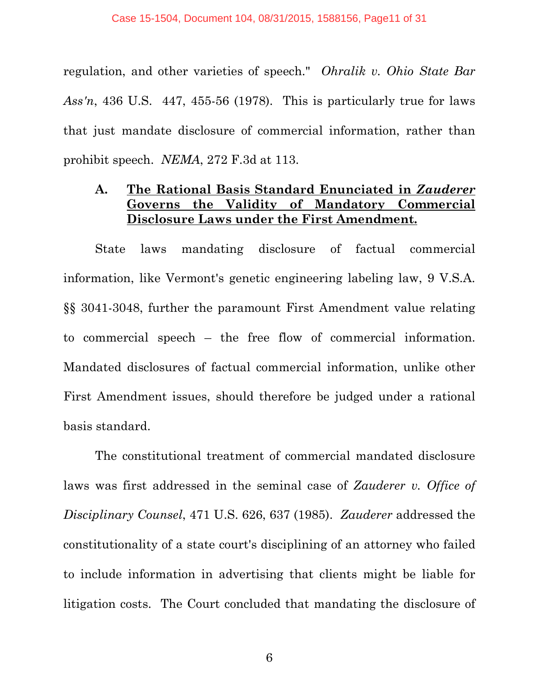regulation, and other varieties of speech." *Ohralik v. Ohio State Bar Ass'n*, 436 U.S. 447, 455-56 (1978). This is particularly true for laws that just mandate disclosure of commercial information, rather than prohibit speech. *NEMA*, 272 F.3d at 113.

## <span id="page-10-0"></span>**A. The Rational Basis Standard Enunciated in** *Zauderer* **Governs the Validity of Mandatory Commercial Disclosure Laws under the First Amendment.**

State laws mandating disclosure of factual commercial information, like Vermont's genetic engineering labeling law, 9 V.S.A. §§ 3041-3048, further the paramount First Amendment value relating to commercial speech – the free flow of commercial information. Mandated disclosures of factual commercial information, unlike other First Amendment issues, should therefore be judged under a rational basis standard.

The constitutional treatment of commercial mandated disclosure laws was first addressed in the seminal case of *Zauderer v. Office of Disciplinary Counsel*, 471 U.S. 626, 637 (1985). *Zauderer* addressed the constitutionality of a state court's disciplining of an attorney who failed to include information in advertising that clients might be liable for litigation costs. The Court concluded that mandating the disclosure of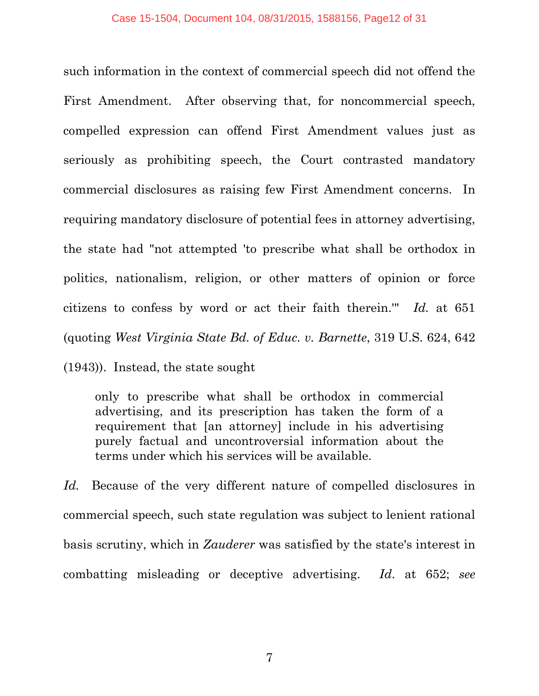such information in the context of commercial speech did not offend the First Amendment. After observing that, for noncommercial speech, compelled expression can offend First Amendment values just as seriously as prohibiting speech, the Court contrasted mandatory commercial disclosures as raising few First Amendment concerns. In requiring mandatory disclosure of potential fees in attorney advertising, the state had "not attempted 'to prescribe what shall be orthodox in politics, nationalism, religion, or other matters of opinion or force citizens to confess by word or act their faith therein.'" *Id.* at 651 (quoting *West Virginia State Bd. of Educ. v. Barnette*, 319 U.S. 624, 642

(1943)). Instead, the state sought

only to prescribe what shall be orthodox in commercial advertising, and its prescription has taken the form of a requirement that [an attorney] include in his advertising purely factual and uncontroversial information about the terms under which his services will be available.

Id. Because of the very different nature of compelled disclosures in commercial speech, such state regulation was subject to lenient rational basis scrutiny, which in *Zauderer* was satisfied by the state's interest in combatting misleading or deceptive advertising. *Id*. at 652; *see*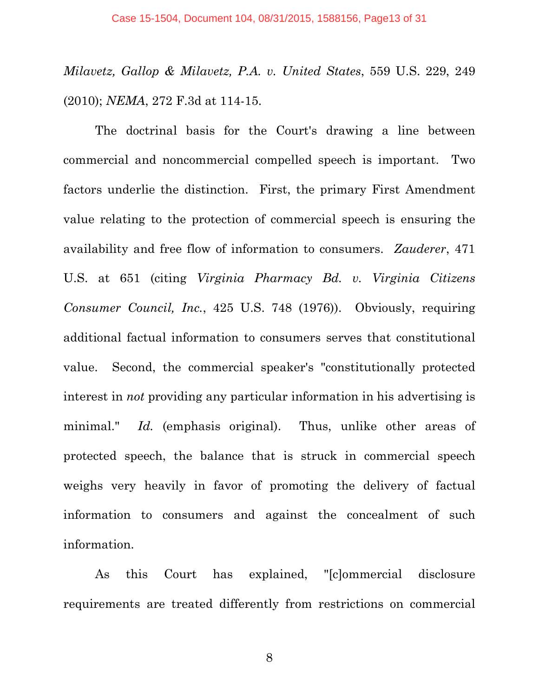*Milavetz, Gallop & Milavetz, P.A. v. United States*, 559 U.S. 229, 249 (2010); *NEMA*, 272 F.3d at 114-15.

The doctrinal basis for the Court's drawing a line between commercial and noncommercial compelled speech is important. Two factors underlie the distinction. First, the primary First Amendment value relating to the protection of commercial speech is ensuring the availability and free flow of information to consumers. *Zauderer*, 471 U.S. at 651 (citing *Virginia Pharmacy Bd. v. Virginia Citizens Consumer Council, Inc.*, 425 U.S. 748 (1976)). Obviously, requiring additional factual information to consumers serves that constitutional value. Second, the commercial speaker's "constitutionally protected interest in *not* providing any particular information in his advertising is minimal." *Id.* (emphasis original). Thus, unlike other areas of protected speech, the balance that is struck in commercial speech weighs very heavily in favor of promoting the delivery of factual information to consumers and against the concealment of such information.

As this Court has explained, "[c]ommercial disclosure requirements are treated differently from restrictions on commercial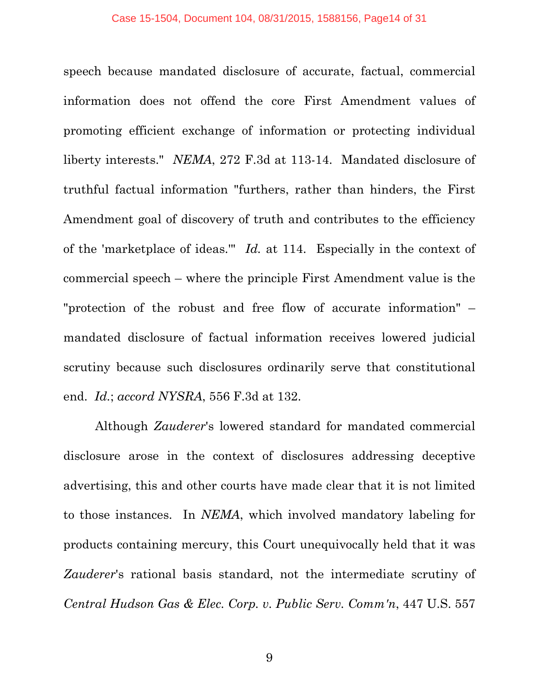speech because mandated disclosure of accurate, factual, commercial information does not offend the core First Amendment values of promoting efficient exchange of information or protecting individual liberty interests." *NEMA*, 272 F.3d at 113-14. Mandated disclosure of truthful factual information "furthers, rather than hinders, the First Amendment goal of discovery of truth and contributes to the efficiency of the 'marketplace of ideas.'" *Id.* at 114. Especially in the context of commercial speech – where the principle First Amendment value is the "protection of the robust and free flow of accurate information" – mandated disclosure of factual information receives lowered judicial scrutiny because such disclosures ordinarily serve that constitutional end. *Id.*; *accord NYSRA*, 556 F.3d at 132.

Although *Zauderer*'s lowered standard for mandated commercial disclosure arose in the context of disclosures addressing deceptive advertising, this and other courts have made clear that it is not limited to those instances. In *NEMA*, which involved mandatory labeling for products containing mercury, this Court unequivocally held that it was *Zauderer*'s rational basis standard, not the intermediate scrutiny of *Central Hudson Gas & Elec. Corp. v. Public Serv. Comm'n*, 447 U.S. 557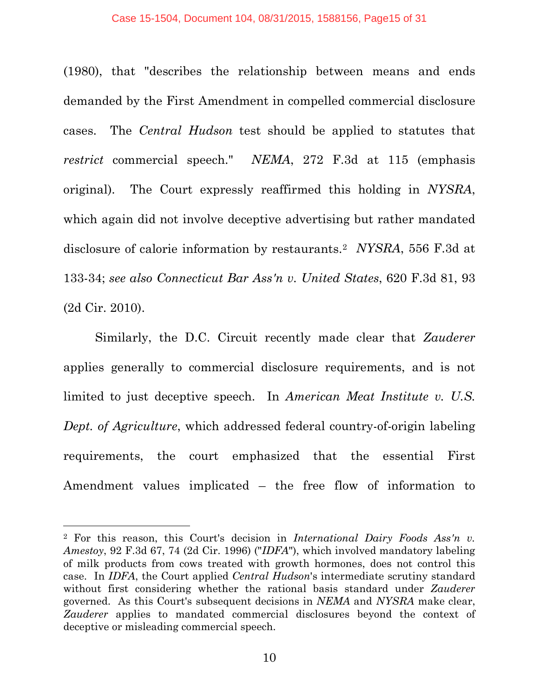#### Case 15-1504, Document 104, 08/31/2015, 1588156, Page15 of 31

(1980), that "describes the relationship between means and ends demanded by the First Amendment in compelled commercial disclosure cases. The *Central Hudson* test should be applied to statutes that *restrict* commercial speech." *NEMA*, 272 F.3d at 115 (emphasis original). The Court expressly reaffirmed this holding in *NYSRA*, which again did not involve deceptive advertising but rather mandated disclosure of calorie information by restaurants.[2](#page-14-0) *NYSRA*, 556 F.3d at 133-34; *see also Connecticut Bar Ass'n v. United States*, 620 F.3d 81, 93 (2d Cir. 2010).

Similarly, the D.C. Circuit recently made clear that *Zauderer* applies generally to commercial disclosure requirements, and is not limited to just deceptive speech. In *American Meat Institute v. U.S. Dept. of Agriculture*, which addressed federal country-of-origin labeling requirements, the court emphasized that the essential First Amendment values implicated – the free flow of information to

Ĩ.

<span id="page-14-0"></span><sup>2</sup> For this reason, this Court's decision in *International Dairy Foods Ass'n v. Amestoy*, 92 F.3d 67, 74 (2d Cir. 1996) ("*IDFA*"), which involved mandatory labeling of milk products from cows treated with growth hormones, does not control this case. In *IDFA*, the Court applied *Central Hudson*'s intermediate scrutiny standard without first considering whether the rational basis standard under *Zauderer* governed. As this Court's subsequent decisions in *NEMA* and *NYSRA* make clear, *Zauderer* applies to mandated commercial disclosures beyond the context of deceptive or misleading commercial speech.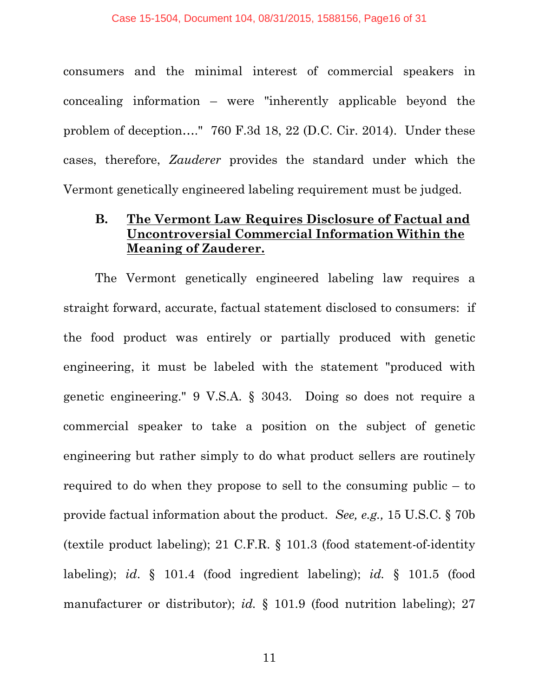consumers and the minimal interest of commercial speakers in concealing information – were "inherently applicable beyond the problem of deception…." 760 F.3d 18, 22 (D.C. Cir. 2014). Under these cases, therefore, *Zauderer* provides the standard under which the Vermont genetically engineered labeling requirement must be judged.

## <span id="page-15-0"></span>**B. The Vermont Law Requires Disclosure of Factual and Uncontroversial Commercial Information Within the Meaning of Zauderer.**

The Vermont genetically engineered labeling law requires a straight forward, accurate, factual statement disclosed to consumers: if the food product was entirely or partially produced with genetic engineering, it must be labeled with the statement "produced with genetic engineering." 9 V.S.A. § 3043. Doing so does not require a commercial speaker to take a position on the subject of genetic engineering but rather simply to do what product sellers are routinely required to do when they propose to sell to the consuming public – to provide factual information about the product. *See, e.g.,* 15 U.S.C. § 70b (textile product labeling); 21 C.F.R. § 101.3 (food statement-of-identity labeling); *id*. § 101.4 (food ingredient labeling); *id.* § 101.5 (food manufacturer or distributor); *id.* § 101.9 (food nutrition labeling); 27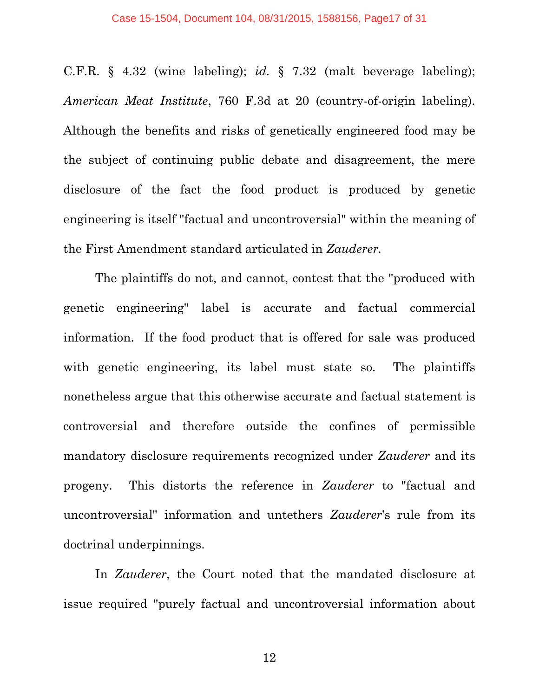C.F.R. § 4.32 (wine labeling); *id.* § 7.32 (malt beverage labeling); *American Meat Institute*, 760 F.3d at 20 (country-of-origin labeling). Although the benefits and risks of genetically engineered food may be the subject of continuing public debate and disagreement, the mere disclosure of the fact the food product is produced by genetic engineering is itself "factual and uncontroversial" within the meaning of the First Amendment standard articulated in *Zauderer.* 

The plaintiffs do not, and cannot, contest that the "produced with genetic engineering" label is accurate and factual commercial information. If the food product that is offered for sale was produced with genetic engineering, its label must state so. The plaintiffs nonetheless argue that this otherwise accurate and factual statement is controversial and therefore outside the confines of permissible mandatory disclosure requirements recognized under *Zauderer* and its progeny. This distorts the reference in *Zauderer* to "factual and uncontroversial" information and untethers *Zauderer*'s rule from its doctrinal underpinnings.

In *Zauderer*, the Court noted that the mandated disclosure at issue required "purely factual and uncontroversial information about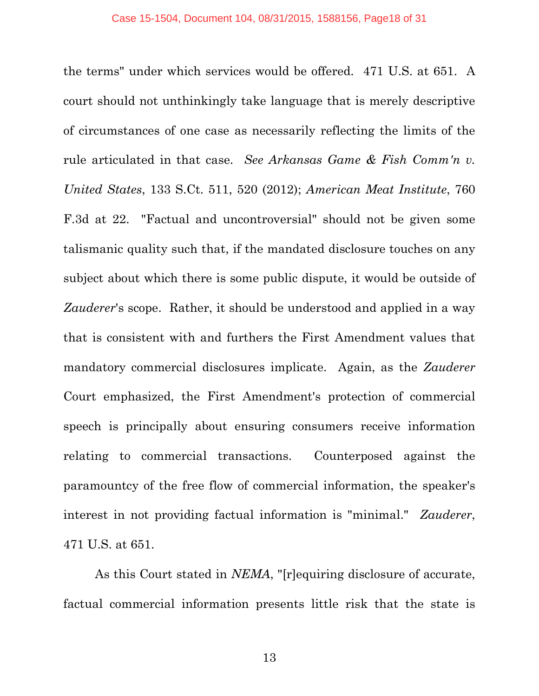the terms" under which services would be offered. 471 U.S. at 651. A court should not unthinkingly take language that is merely descriptive of circumstances of one case as necessarily reflecting the limits of the rule articulated in that case. *See Arkansas Game & Fish Comm'n v. United States*, 133 S.Ct. 511, 520 (2012); *American Meat Institute*, 760 F.3d at 22. "Factual and uncontroversial" should not be given some talismanic quality such that, if the mandated disclosure touches on any subject about which there is some public dispute, it would be outside of *Zauderer*'s scope. Rather, it should be understood and applied in a way that is consistent with and furthers the First Amendment values that mandatory commercial disclosures implicate. Again, as the *Zauderer* Court emphasized, the First Amendment's protection of commercial speech is principally about ensuring consumers receive information relating to commercial transactions. Counterposed against the paramountcy of the free flow of commercial information, the speaker's interest in not providing factual information is "minimal." *Zauderer*, 471 U.S. at 651.

As this Court stated in *NEMA*, "[r]equiring disclosure of accurate, factual commercial information presents little risk that the state is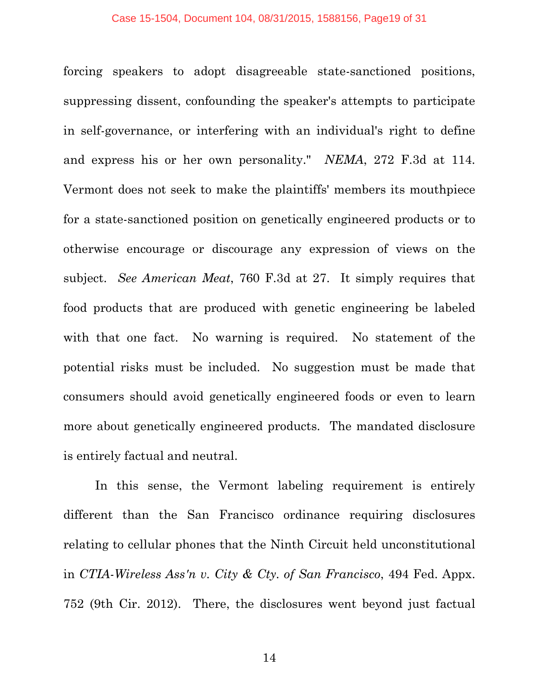forcing speakers to adopt disagreeable state-sanctioned positions, suppressing dissent, confounding the speaker's attempts to participate in self-governance, or interfering with an individual's right to define and express his or her own personality." *NEMA*, 272 F.3d at 114. Vermont does not seek to make the plaintiffs' members its mouthpiece for a state-sanctioned position on genetically engineered products or to otherwise encourage or discourage any expression of views on the subject. *See American Meat*, 760 F.3d at 27. It simply requires that food products that are produced with genetic engineering be labeled with that one fact. No warning is required. No statement of the potential risks must be included. No suggestion must be made that consumers should avoid genetically engineered foods or even to learn more about genetically engineered products. The mandated disclosure is entirely factual and neutral.

In this sense, the Vermont labeling requirement is entirely different than the San Francisco ordinance requiring disclosures relating to cellular phones that the Ninth Circuit held unconstitutional in *CTIA-Wireless Ass'n v. City & Cty. of San Francisco*, 494 Fed. Appx. 752 (9th Cir. 2012). There, the disclosures went beyond just factual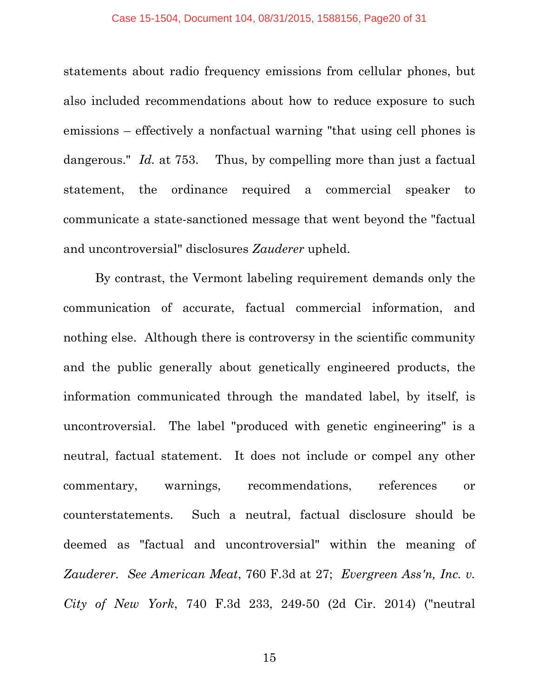statements about radio frequency emissions from cellular phones, but also included recommendations about how to reduce exposure to such emissions – effectively a nonfactual warning "that using cell phones is dangerous." *Id.* at 753. Thus, by compelling more than just a factual statement, the ordinance required a commercial speaker to communicate a state-sanctioned message that went beyond the "factual and uncontroversial" disclosures *Zauderer* upheld.

By contrast, the Vermont labeling requirement demands only the communication of accurate, factual commercial information, and nothing else. Although there is controversy in the scientific community and the public generally about genetically engineered products, the information communicated through the mandated label, by itself, is uncontroversial. The label "produced with genetic engineering" is a neutral, factual statement. It does not include or compel any other commentary, warnings, recommendations, references or counterstatements. Such a neutral, factual disclosure should be deemed as "factual and uncontroversial" within the meaning of *Zauderer. See American Meat*, 760 F.3d at 27; *Evergreen Ass'n, Inc. v. City of New York*, 740 F.3d 233, 249-50 (2d Cir. 2014) ("neutral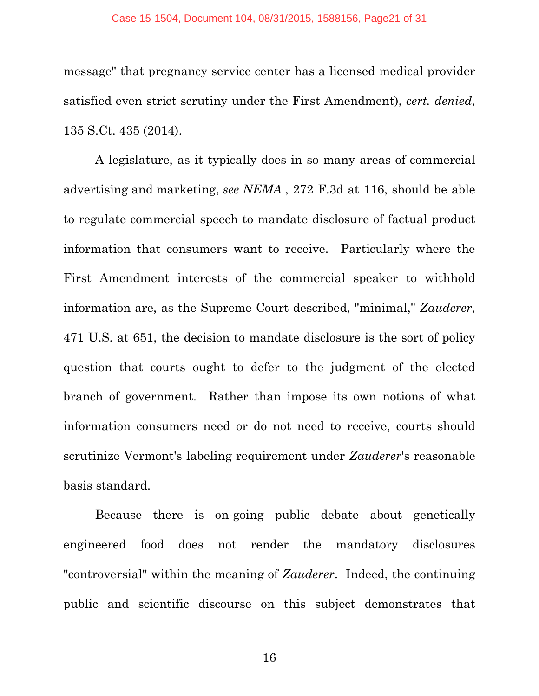#### Case 15-1504, Document 104, 08/31/2015, 1588156, Page21 of 31

message" that pregnancy service center has a licensed medical provider satisfied even strict scrutiny under the First Amendment), *cert. denied*, 135 S.Ct. 435 (2014).

A legislature, as it typically does in so many areas of commercial advertising and marketing, *see NEMA* , 272 F.3d at 116, should be able to regulate commercial speech to mandate disclosure of factual product information that consumers want to receive. Particularly where the First Amendment interests of the commercial speaker to withhold information are, as the Supreme Court described, "minimal," *Zauderer*, 471 U.S. at 651, the decision to mandate disclosure is the sort of policy question that courts ought to defer to the judgment of the elected branch of government. Rather than impose its own notions of what information consumers need or do not need to receive, courts should scrutinize Vermont's labeling requirement under *Zauderer*'s reasonable basis standard.

Because there is on-going public debate about genetically engineered food does not render the mandatory disclosures "controversial" within the meaning of *Zauderer*. Indeed, the continuing public and scientific discourse on this subject demonstrates that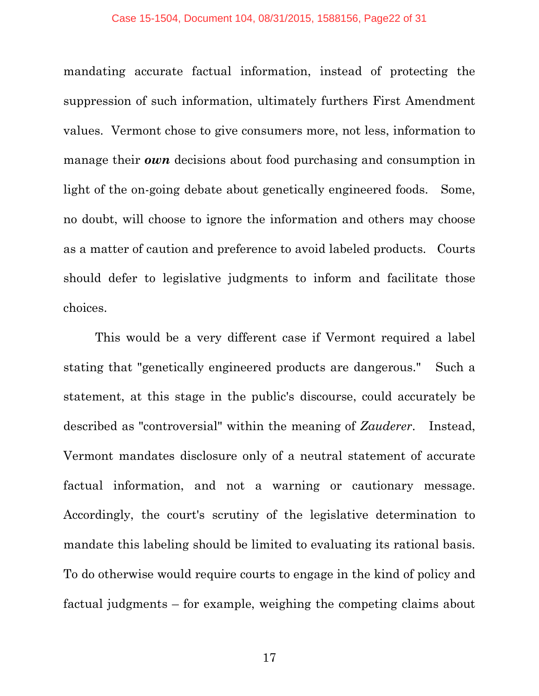#### Case 15-1504, Document 104, 08/31/2015, 1588156, Page22 of 31

mandating accurate factual information, instead of protecting the suppression of such information, ultimately furthers First Amendment values. Vermont chose to give consumers more, not less, information to manage their *own* decisions about food purchasing and consumption in light of the on-going debate about genetically engineered foods. Some, no doubt, will choose to ignore the information and others may choose as a matter of caution and preference to avoid labeled products. Courts should defer to legislative judgments to inform and facilitate those choices.

This would be a very different case if Vermont required a label stating that "genetically engineered products are dangerous." Such a statement, at this stage in the public's discourse, could accurately be described as "controversial" within the meaning of *Zauderer*. Instead, Vermont mandates disclosure only of a neutral statement of accurate factual information, and not a warning or cautionary message. Accordingly, the court's scrutiny of the legislative determination to mandate this labeling should be limited to evaluating its rational basis. To do otherwise would require courts to engage in the kind of policy and factual judgments – for example, weighing the competing claims about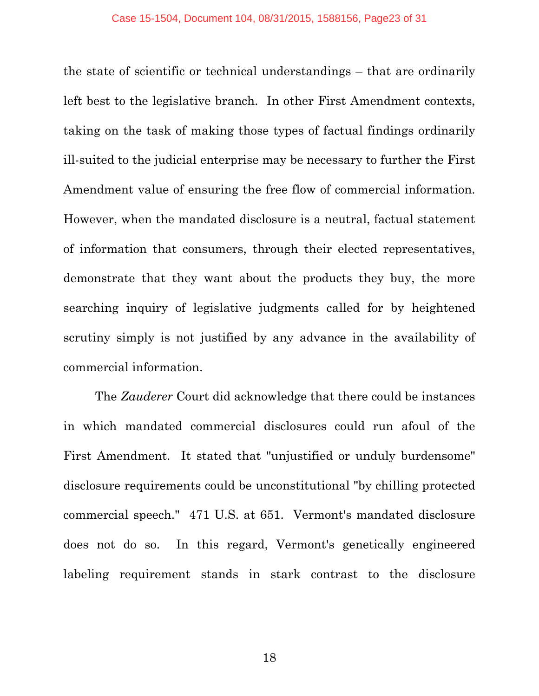the state of scientific or technical understandings – that are ordinarily left best to the legislative branch. In other First Amendment contexts, taking on the task of making those types of factual findings ordinarily ill-suited to the judicial enterprise may be necessary to further the First Amendment value of ensuring the free flow of commercial information. However, when the mandated disclosure is a neutral, factual statement of information that consumers, through their elected representatives, demonstrate that they want about the products they buy, the more searching inquiry of legislative judgments called for by heightened scrutiny simply is not justified by any advance in the availability of commercial information.

The *Zauderer* Court did acknowledge that there could be instances in which mandated commercial disclosures could run afoul of the First Amendment. It stated that "unjustified or unduly burdensome" disclosure requirements could be unconstitutional "by chilling protected commercial speech." 471 U.S. at 651. Vermont's mandated disclosure does not do so. In this regard, Vermont's genetically engineered labeling requirement stands in stark contrast to the disclosure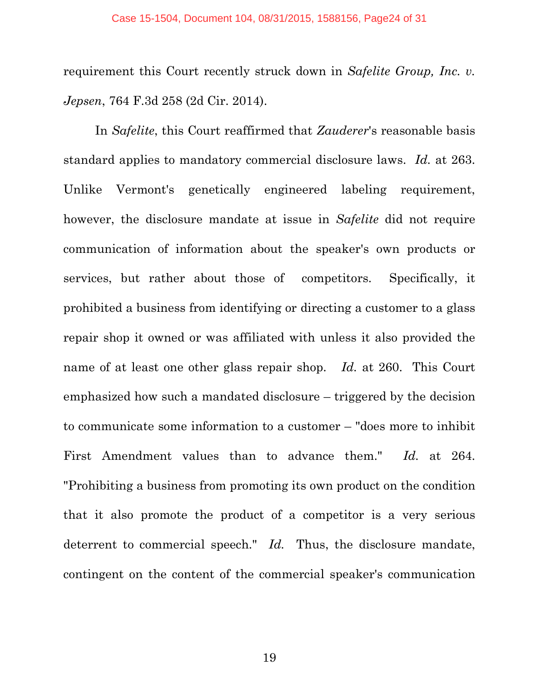requirement this Court recently struck down in *Safelite Group, Inc. v. Jepsen*, 764 F.3d 258 (2d Cir. 2014).

In *Safelite*, this Court reaffirmed that *Zauderer*'s reasonable basis standard applies to mandatory commercial disclosure laws. *Id.* at 263. Unlike Vermont's genetically engineered labeling requirement, however, the disclosure mandate at issue in *Safelite* did not require communication of information about the speaker's own products or services, but rather about those of competitors. Specifically, it prohibited a business from identifying or directing a customer to a glass repair shop it owned or was affiliated with unless it also provided the name of at least one other glass repair shop. *Id.* at 260. This Court emphasized how such a mandated disclosure – triggered by the decision to communicate some information to a customer – "does more to inhibit First Amendment values than to advance them." *Id.* at 264. "Prohibiting a business from promoting its own product on the condition that it also promote the product of a competitor is a very serious deterrent to commercial speech." *Id.* Thus, the disclosure mandate, contingent on the content of the commercial speaker's communication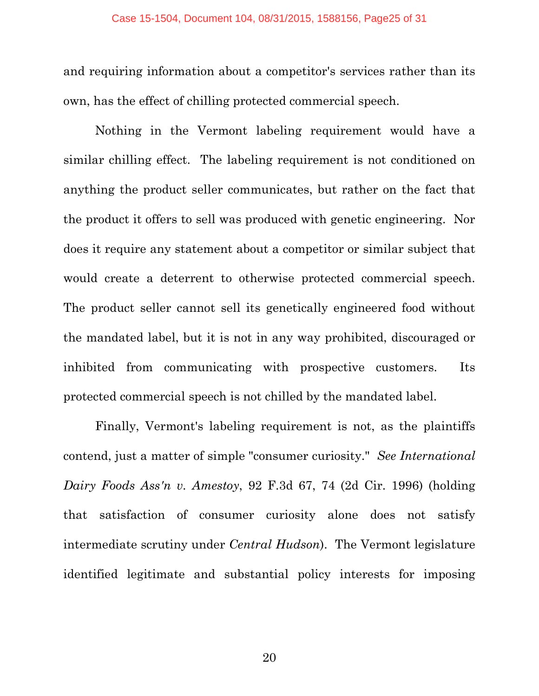and requiring information about a competitor's services rather than its own, has the effect of chilling protected commercial speech.

Nothing in the Vermont labeling requirement would have a similar chilling effect. The labeling requirement is not conditioned on anything the product seller communicates, but rather on the fact that the product it offers to sell was produced with genetic engineering. Nor does it require any statement about a competitor or similar subject that would create a deterrent to otherwise protected commercial speech. The product seller cannot sell its genetically engineered food without the mandated label, but it is not in any way prohibited, discouraged or inhibited from communicating with prospective customers. Its protected commercial speech is not chilled by the mandated label.

Finally, Vermont's labeling requirement is not, as the plaintiffs contend, just a matter of simple "consumer curiosity." *See International Dairy Foods Ass'n v. Amestoy*, 92 F.3d 67, 74 (2d Cir. 1996) (holding that satisfaction of consumer curiosity alone does not satisfy intermediate scrutiny under *Central Hudson*). The Vermont legislature identified legitimate and substantial policy interests for imposing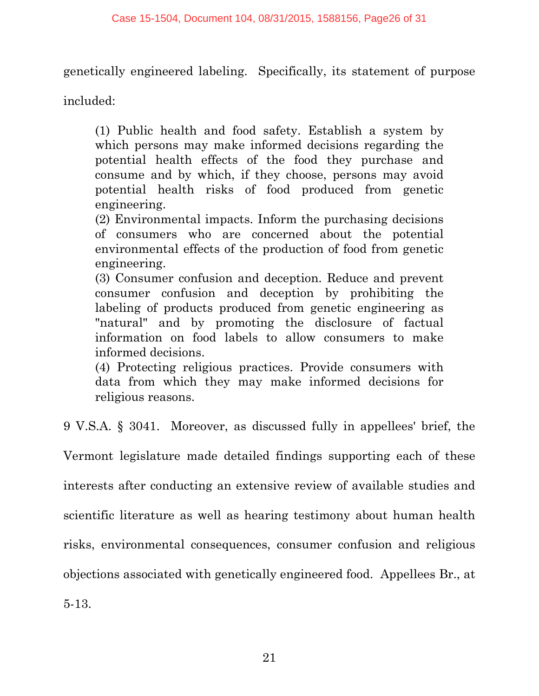genetically engineered labeling. Specifically, its statement of purpose

included:

(1) Public health and food safety. Establish a system by which persons may make informed decisions regarding the potential health effects of the food they purchase and consume and by which, if they choose, persons may avoid potential health risks of food produced from genetic engineering.

(2) Environmental impacts. Inform the purchasing decisions of consumers who are concerned about the potential environmental effects of the production of food from genetic engineering.

(3) Consumer confusion and deception. Reduce and prevent consumer confusion and deception by prohibiting the labeling of products produced from genetic engineering as "natural" and by promoting the disclosure of factual information on food labels to allow consumers to make informed decisions.

(4) Protecting religious practices. Provide consumers with data from which they may make informed decisions for religious reasons.

9 V.S.A. § 3041. Moreover, as discussed fully in appellees' brief, the

Vermont legislature made detailed findings supporting each of these interests after conducting an extensive review of available studies and scientific literature as well as hearing testimony about human health risks, environmental consequences, consumer confusion and religious objections associated with genetically engineered food. Appellees Br., at 5-13.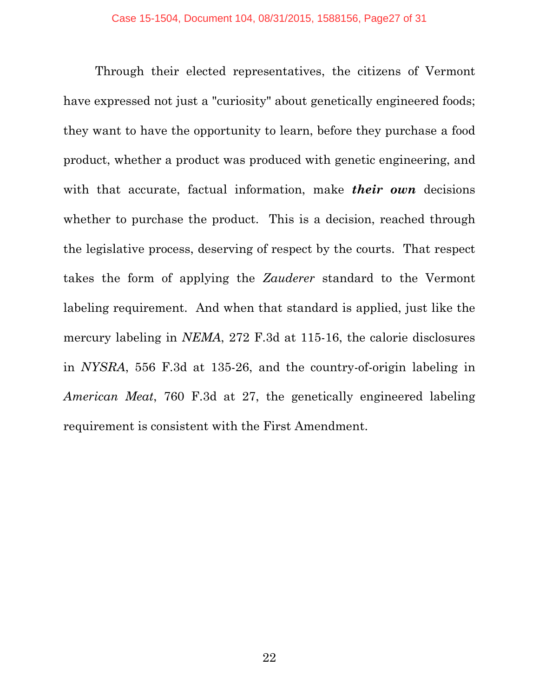Through their elected representatives, the citizens of Vermont have expressed not just a "curiosity" about genetically engineered foods; they want to have the opportunity to learn, before they purchase a food product, whether a product was produced with genetic engineering, and with that accurate, factual information, make *their own* decisions whether to purchase the product. This is a decision, reached through the legislative process, deserving of respect by the courts. That respect takes the form of applying the *Zauderer* standard to the Vermont labeling requirement. And when that standard is applied, just like the mercury labeling in *NEMA*, 272 F.3d at 115-16, the calorie disclosures in *NYSRA*, 556 F.3d at 135-26, and the country-of-origin labeling in *American Meat*, 760 F.3d at 27, the genetically engineered labeling requirement is consistent with the First Amendment.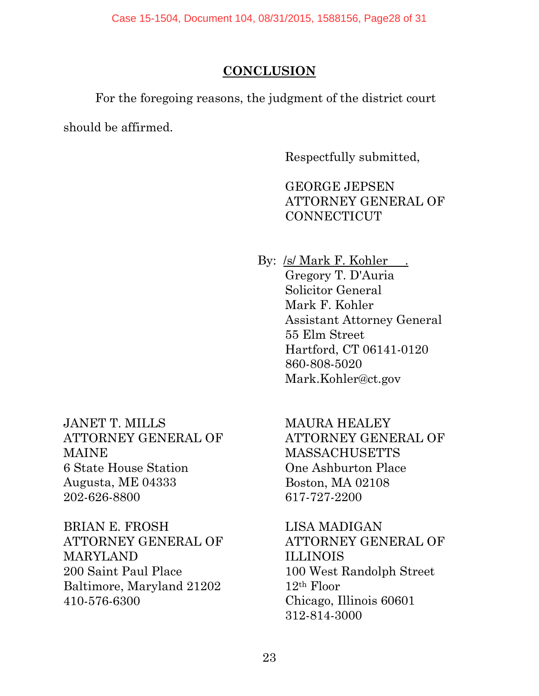## **CONCLUSION**

<span id="page-27-0"></span>For the foregoing reasons, the judgment of the district court

should be affirmed.

Respectfully submitted,

GEORGE JEPSEN ATTORNEY GENERAL OF CONNECTICUT

By: /s/ Mark F. Kohler . Gregory T. D'Auria Solicitor General Mark F. Kohler Assistant Attorney General 55 Elm Street Hartford, CT 06141-0120 860-808-5020 Mark.Kohler@ct.gov

JANET T. MILLS ATTORNEY GENERAL OF MAINE 6 State House Station Augusta, ME 04333 202-626-8800

BRIAN E. FROSH ATTORNEY GENERAL OF MARYLAND 200 Saint Paul Place Baltimore, Maryland 21202 410-576-6300

MAURA HEALEY ATTORNEY GENERAL OF MASSACHUSETTS One Ashburton Place Boston, MA 02108 617-727-2200

LISA MADIGAN ATTORNEY GENERAL OF ILLINOIS 100 West Randolph Street 12th Floor Chicago, Illinois 60601 312-814-3000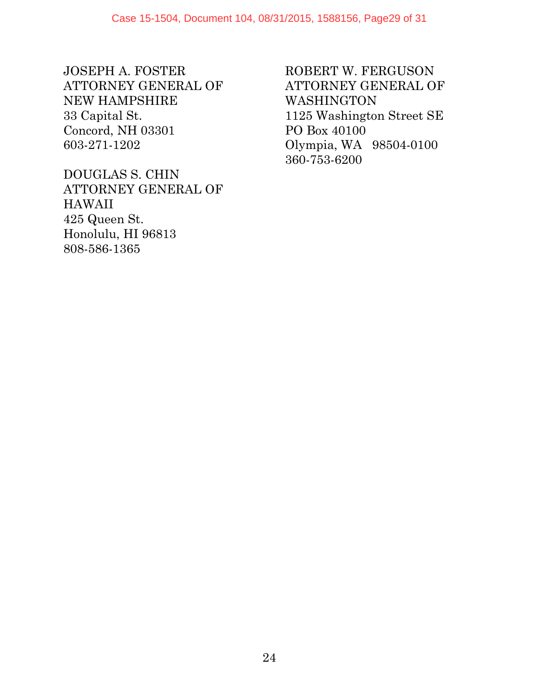JOSEPH A. FOSTER ATTORNEY GENERAL OF NEW HAMPSHIRE 33 Capital St. Concord, NH 03301 603-271-1202

DOUGLAS S. CHIN ATTORNEY GENERAL OF HAWAII 425 Queen St. Honolulu, HI 96813 808-586-1365

ROBERT W. FERGUSON ATTORNEY GENERAL OF WASHINGTON 1125 Washington Street SE PO Box 40100 Olympia, WA 98504-0100 360-753-6200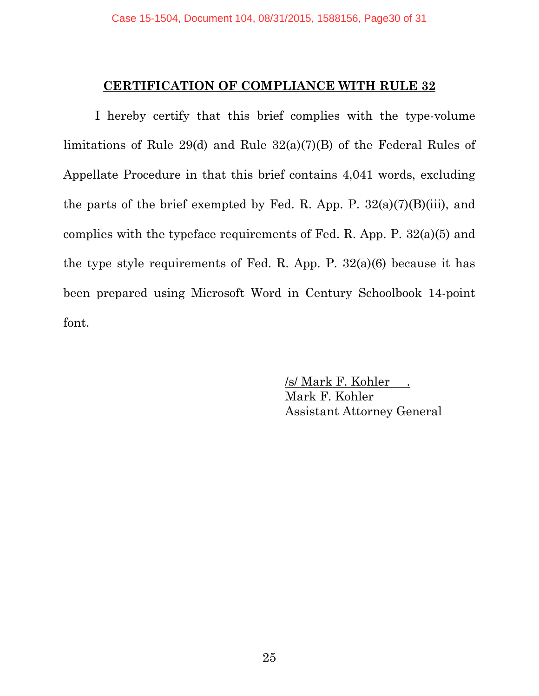#### **CERTIFICATION OF COMPLIANCE WITH RULE 32**

<span id="page-29-0"></span>I hereby certify that this brief complies with the type-volume limitations of Rule 29(d) and Rule 32(a)(7)(B) of the Federal Rules of Appellate Procedure in that this brief contains 4,041 words, excluding the parts of the brief exempted by Fed. R. App. P.  $32(a)(7)(B)(iii)$ , and complies with the typeface requirements of Fed. R. App. P. 32(a)(5) and the type style requirements of Fed. R. App. P. 32(a)(6) because it has been prepared using Microsoft Word in Century Schoolbook 14-point font.

> /s/ Mark F. Kohler . Mark F. Kohler Assistant Attorney General